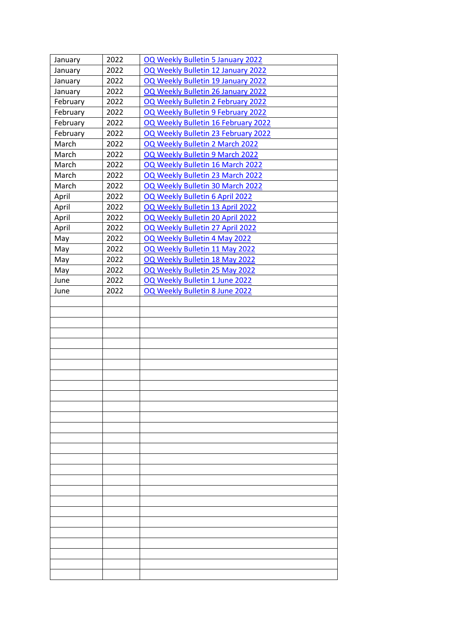| January  | 2022 | OQ Weekly Bulletin 5 January 2022   |
|----------|------|-------------------------------------|
| January  | 2022 | OQ Weekly Bulletin 12 January 2022  |
| January  | 2022 | OQ Weekly Bulletin 19 January 2022  |
| January  | 2022 | OQ Weekly Bulletin 26 January 2022  |
| February | 2022 | OQ Weekly Bulletin 2 February 2022  |
| February | 2022 | OQ Weekly Bulletin 9 February 2022  |
| February | 2022 | OQ Weekly Bulletin 16 February 2022 |
| February | 2022 | OQ Weekly Bulletin 23 February 2022 |
| March    | 2022 | OQ Weekly Bulletin 2 March 2022     |
| March    | 2022 | OQ Weekly Bulletin 9 March 2022     |
| March    | 2022 | OQ Weekly Bulletin 16 March 2022    |
| March    | 2022 | OQ Weekly Bulletin 23 March 2022    |
| March    | 2022 | OQ Weekly Bulletin 30 March 2022    |
| April    | 2022 | OQ Weekly Bulletin 6 April 2022     |
| April    | 2022 | OQ Weekly Bulletin 13 April 2022    |
| April    | 2022 | OQ Weekly Bulletin 20 April 2022    |
| April    | 2022 | OQ Weekly Bulletin 27 April 2022    |
| May      | 2022 | OQ Weekly Bulletin 4 May 2022       |
| May      | 2022 | OQ Weekly Bulletin 11 May 2022      |
| May      | 2022 | OQ Weekly Bulletin 18 May 2022      |
| May      | 2022 | OQ Weekly Bulletin 25 May 2022      |
| June     | 2022 | OQ Weekly Bulletin 1 June 2022      |
| June     | 2022 | OQ Weekly Bulletin 8 June 2022      |
|          |      |                                     |
|          |      |                                     |
|          |      |                                     |
|          |      |                                     |
|          |      |                                     |
|          |      |                                     |
|          |      |                                     |
|          |      |                                     |
|          |      |                                     |
|          |      |                                     |
|          |      |                                     |
|          |      |                                     |
|          |      |                                     |
|          |      |                                     |
|          |      |                                     |
|          |      |                                     |
|          |      |                                     |
|          |      |                                     |
|          |      |                                     |
|          |      |                                     |
|          |      |                                     |
|          |      |                                     |
|          |      |                                     |
|          |      |                                     |
|          |      |                                     |
|          |      |                                     |
|          |      |                                     |